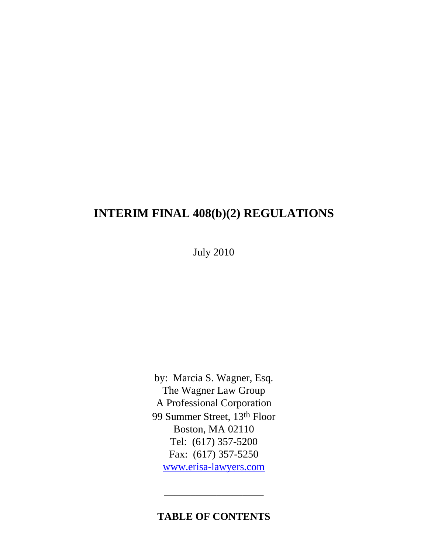# **INTERIM FINAL 408(b)(2) REGULATIONS**

July 2010

by: Marcia S. Wagner, Esq. The Wagner Law Group A Professional Corporation 99 Summer Street, 13th Floor Boston, MA 02110 Tel: (617) 357-5200 Fax: (617) 357-5250 [www.erisa-lawyers.com](http://www.erisa-lawyers.com/)

### **TABLE OF CONTENTS**

**\_\_\_\_\_\_\_\_\_\_\_\_\_\_\_\_\_\_\_**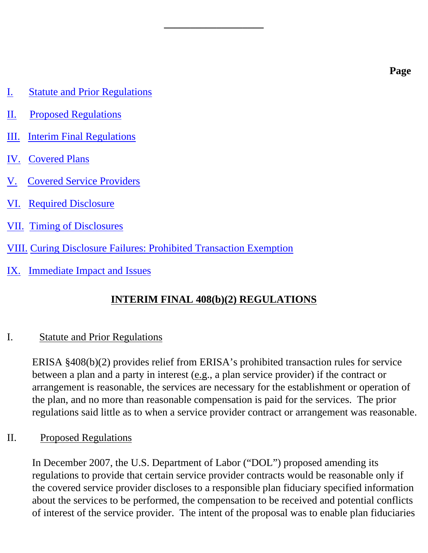- [I. Statute and Prior Regulations](#page-1-0)
- [II. Proposed Regulations](#page-1-1)
- [III. Interim Final Regulations](#page-2-0)
- [IV. Covered Plans](#page-2-1)
- [V. Covered Service Providers](#page-2-2)
- [VI. Required Disclosure](#page-3-0)
- [VII. Timing of Disclosures](#page-6-0)
- VIII. [Curing Disclosure Failures: Prohibited Transaction Exemption](#page-6-1)
- [IX. Immediate Impact and Issues](#page-7-0)

### **INTERIM FINAL 408(b)(2) REGULATIONS**

**\_\_\_\_\_\_\_\_\_\_\_\_\_\_\_\_\_\_\_**

### <span id="page-1-0"></span>I. Statute and Prior Regulations

ERISA §408(b)(2) provides relief from ERISA's prohibited transaction rules for service between a plan and a party in interest (e.g., a plan service provider) if the contract or arrangement is reasonable, the services are necessary for the establishment or operation of the plan, and no more than reasonable compensation is paid for the services. The prior regulations said little as to when a service provider contract or arrangement was reasonable.

#### <span id="page-1-1"></span>II. Proposed Regulations

In December 2007, the U.S. Department of Labor ("DOL") proposed amending its regulations to provide that certain service provider contracts would be reasonable only if the covered service provider discloses to a responsible plan fiduciary specified information about the services to be performed, the compensation to be received and potential conflicts of interest of the service provider. The intent of the proposal was to enable plan fiduciaries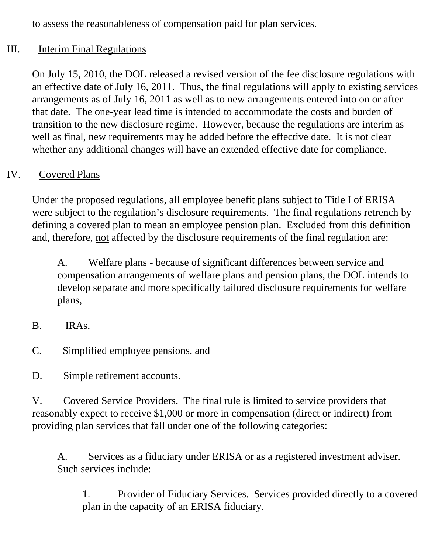to assess the reasonableness of compensation paid for plan services.

### <span id="page-2-0"></span>III. Interim Final Regulations

On July 15, 2010, the DOL released a revised version of the fee disclosure regulations with an effective date of July 16, 2011. Thus, the final regulations will apply to existing services arrangements as of July 16, 2011 as well as to new arrangements entered into on or after that date. The one-year lead time is intended to accommodate the costs and burden of transition to the new disclosure regime. However, because the regulations are interim as well as final, new requirements may be added before the effective date. It is not clear whether any additional changes will have an extended effective date for compliance.

# <span id="page-2-1"></span>IV. Covered Plans

Under the proposed regulations, all employee benefit plans subject to Title I of ERISA were subject to the regulation's disclosure requirements. The final regulations retrench by defining a covered plan to mean an employee pension plan. Excluded from this definition and, therefore, not affected by the disclosure requirements of the final regulation are:

A. Welfare plans - because of significant differences between service and compensation arrangements of welfare plans and pension plans, the DOL intends to develop separate and more specifically tailored disclosure requirements for welfare plans,

- B. IRAs,
- C. Simplified employee pensions, and

D. Simple retirement accounts.

<span id="page-2-2"></span>V. Covered Service Providers. The final rule is limited to service providers that reasonably expect to receive \$1,000 or more in compensation (direct or indirect) from providing plan services that fall under one of the following categories:

A. Services as a fiduciary under ERISA or as a registered investment adviser. Such services include:

1. Provider of Fiduciary Services. Services provided directly to a covered plan in the capacity of an ERISA fiduciary.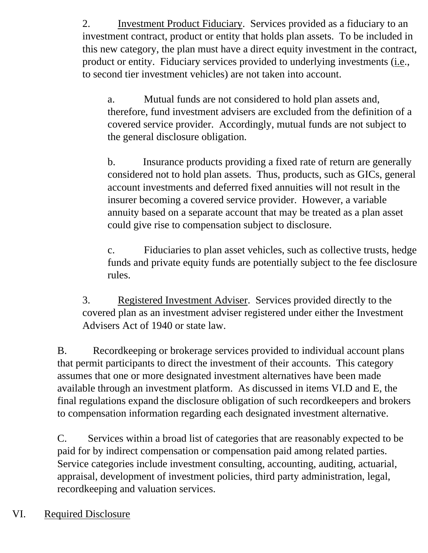2. Investment Product Fiduciary. Services provided as a fiduciary to an investment contract, product or entity that holds plan assets. To be included in this new category, the plan must have a direct equity investment in the contract, product or entity. Fiduciary services provided to underlying investments (i.e., to second tier investment vehicles) are not taken into account.

a. Mutual funds are not considered to hold plan assets and, therefore, fund investment advisers are excluded from the definition of a covered service provider. Accordingly, mutual funds are not subject to the general disclosure obligation.

b. Insurance products providing a fixed rate of return are generally considered not to hold plan assets. Thus, products, such as GICs, general account investments and deferred fixed annuities will not result in the insurer becoming a covered service provider. However, a variable annuity based on a separate account that may be treated as a plan asset could give rise to compensation subject to disclosure.

c. Fiduciaries to plan asset vehicles, such as collective trusts, hedge funds and private equity funds are potentially subject to the fee disclosure rules.

3. Registered Investment Adviser. Services provided directly to the covered plan as an investment adviser registered under either the Investment Advisers Act of 1940 or state law.

B. Recordkeeping or brokerage services provided to individual account plans that permit participants to direct the investment of their accounts. This category assumes that one or more designated investment alternatives have been made available through an investment platform. As discussed in items VI.D and E, the final regulations expand the disclosure obligation of such recordkeepers and brokers to compensation information regarding each designated investment alternative.

C. Services within a broad list of categories that are reasonably expected to be paid for by indirect compensation or compensation paid among related parties. Service categories include investment consulting, accounting, auditing, actuarial, appraisal, development of investment policies, third party administration, legal, recordkeeping and valuation services.

# <span id="page-3-0"></span>VI. Required Disclosure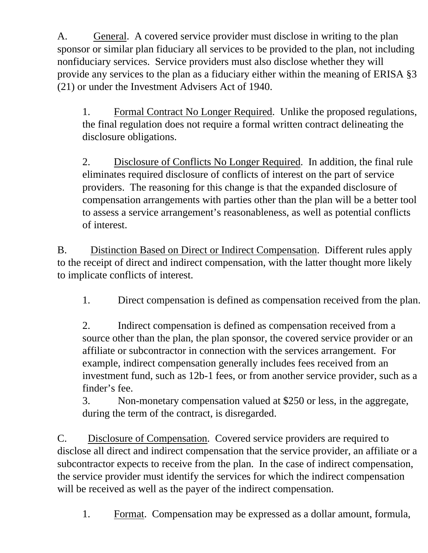A. General. A covered service provider must disclose in writing to the plan sponsor or similar plan fiduciary all services to be provided to the plan, not including nonfiduciary services. Service providers must also disclose whether they will provide any services to the plan as a fiduciary either within the meaning of ERISA §3 (21) or under the Investment Advisers Act of 1940.

1. Formal Contract No Longer Required. Unlike the proposed regulations, the final regulation does not require a formal written contract delineating the disclosure obligations.

2. Disclosure of Conflicts No Longer Required. In addition, the final rule eliminates required disclosure of conflicts of interest on the part of service providers. The reasoning for this change is that the expanded disclosure of compensation arrangements with parties other than the plan will be a better tool to assess a service arrangement's reasonableness, as well as potential conflicts of interest.

B. Distinction Based on Direct or Indirect Compensation. Different rules apply to the receipt of direct and indirect compensation, with the latter thought more likely to implicate conflicts of interest.

1. Direct compensation is defined as compensation received from the plan.

2. Indirect compensation is defined as compensation received from a source other than the plan, the plan sponsor, the covered service provider or an affiliate or subcontractor in connection with the services arrangement. For example, indirect compensation generally includes fees received from an investment fund, such as 12b-1 fees, or from another service provider, such as a finder's fee.

3. Non-monetary compensation valued at \$250 or less, in the aggregate, during the term of the contract, is disregarded.

C. Disclosure of Compensation. Covered service providers are required to disclose all direct and indirect compensation that the service provider, an affiliate or a subcontractor expects to receive from the plan. In the case of indirect compensation, the service provider must identify the services for which the indirect compensation will be received as well as the payer of the indirect compensation.

1. Format. Compensation may be expressed as a dollar amount, formula,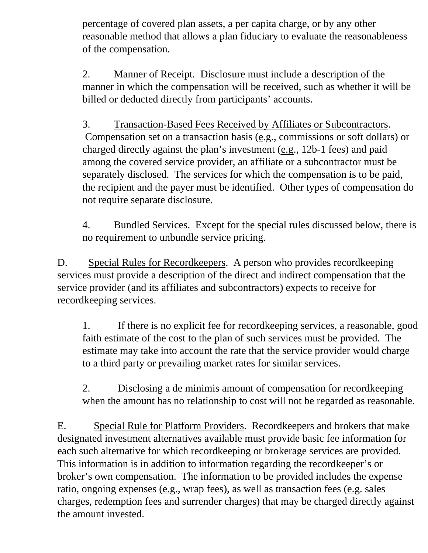percentage of covered plan assets, a per capita charge, or by any other reasonable method that allows a plan fiduciary to evaluate the reasonableness of the compensation.

2. Manner of Receipt. Disclosure must include a description of the manner in which the compensation will be received, such as whether it will be billed or deducted directly from participants' accounts.

3. Transaction-Based Fees Received by Affiliates or Subcontractors. Compensation set on a transaction basis (e.g., commissions or soft dollars) or charged directly against the plan's investment (e.g., 12b-1 fees) and paid among the covered service provider, an affiliate or a subcontractor must be separately disclosed. The services for which the compensation is to be paid, the recipient and the payer must be identified. Other types of compensation do not require separate disclosure.

4. Bundled Services. Except for the special rules discussed below, there is no requirement to unbundle service pricing.

D. Special Rules for Recordkeepers. A person who provides recordkeeping services must provide a description of the direct and indirect compensation that the service provider (and its affiliates and subcontractors) expects to receive for recordkeeping services.

1. If there is no explicit fee for recordkeeping services, a reasonable, good faith estimate of the cost to the plan of such services must be provided. The estimate may take into account the rate that the service provider would charge to a third party or prevailing market rates for similar services.

2. Disclosing a de minimis amount of compensation for recordkeeping when the amount has no relationship to cost will not be regarded as reasonable.

E. Special Rule for Platform Providers. Recordkeepers and brokers that make designated investment alternatives available must provide basic fee information for each such alternative for which recordkeeping or brokerage services are provided. This information is in addition to information regarding the recordkeeper's or broker's own compensation. The information to be provided includes the expense ratio, ongoing expenses (e.g., wrap fees), as well as transaction fees (e.g. sales charges, redemption fees and surrender charges) that may be charged directly against the amount invested.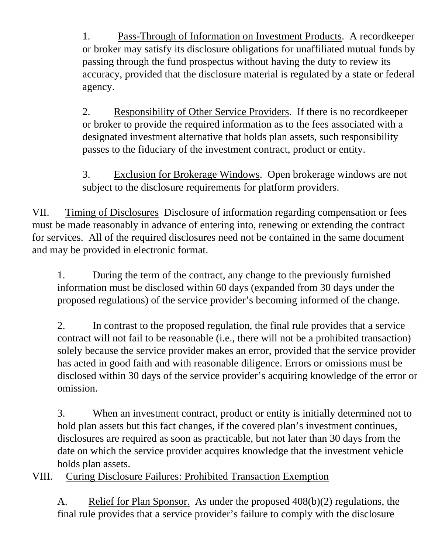1. Pass-Through of Information on Investment Products. A recordkeeper or broker may satisfy its disclosure obligations for unaffiliated mutual funds by passing through the fund prospectus without having the duty to review its accuracy, provided that the disclosure material is regulated by a state or federal agency.

2. Responsibility of Other Service Providers. If there is no recordkeeper or broker to provide the required information as to the fees associated with a designated investment alternative that holds plan assets, such responsibility passes to the fiduciary of the investment contract, product or entity.

3. Exclusion for Brokerage Windows. Open brokerage windows are not subject to the disclosure requirements for platform providers.

<span id="page-6-0"></span>VII. Timing of Disclosures Disclosure of information regarding compensation or fees must be made reasonably in advance of entering into, renewing or extending the contract for services. All of the required disclosures need not be contained in the same document and may be provided in electronic format.

1. During the term of the contract, any change to the previously furnished information must be disclosed within 60 days (expanded from 30 days under the proposed regulations) of the service provider's becoming informed of the change.

2. In contrast to the proposed regulation, the final rule provides that a service contract will not fail to be reasonable (i.e., there will not be a prohibited transaction) solely because the service provider makes an error, provided that the service provider has acted in good faith and with reasonable diligence. Errors or omissions must be disclosed within 30 days of the service provider's acquiring knowledge of the error or omission.

3. When an investment contract, product or entity is initially determined not to hold plan assets but this fact changes, if the covered plan's investment continues, disclosures are required as soon as practicable, but not later than 30 days from the date on which the service provider acquires knowledge that the investment vehicle holds plan assets.

<span id="page-6-1"></span>VIII. Curing Disclosure Failures: Prohibited Transaction Exemption

A. Relief for Plan Sponsor. As under the proposed 408(b)(2) regulations, the final rule provides that a service provider's failure to comply with the disclosure